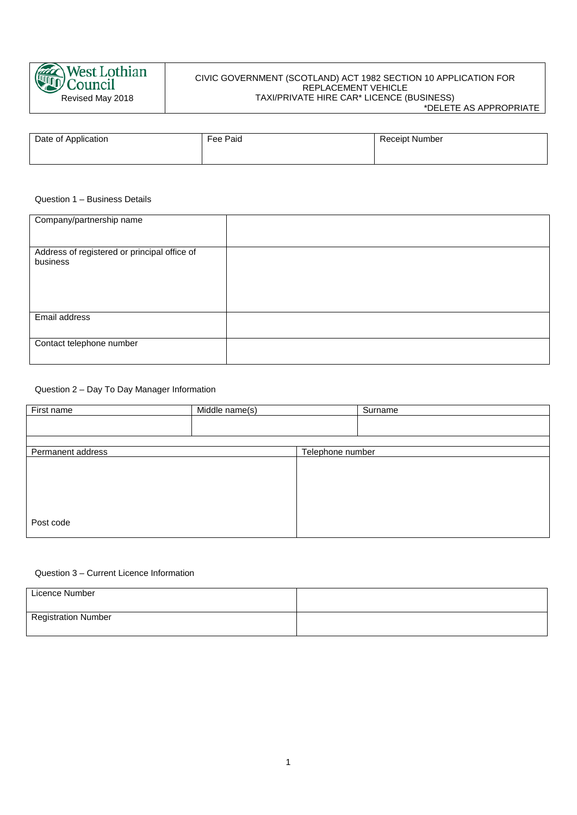

# CIVIC GOVERNMENT (SCOTLAND) ACT 1982 SECTION 10 APPLICATION FOR REPLACEMENT VEHICLE TAXI/PRIVATE HIRE CAR\* LICENCE (BUSINESS)

\*DELETE AS APPROPRIATE

| Date of Application | Fee Paid | <b>Receipt Number</b> |
|---------------------|----------|-----------------------|
|                     |          |                       |

### Question 1 – Business Details

| Company/partnership name                                 |  |
|----------------------------------------------------------|--|
| Address of registered or principal office of<br>business |  |
| Email address                                            |  |
| Contact telephone number                                 |  |

# Question 2 – Day To Day Manager Information

| First name        | Middle name(s) |                  | Surname |
|-------------------|----------------|------------------|---------|
|                   |                |                  |         |
|                   |                |                  |         |
| Permanent address |                | Telephone number |         |
|                   |                |                  |         |
|                   |                |                  |         |
|                   |                |                  |         |
|                   |                |                  |         |
| Post code         |                |                  |         |

### Question 3 – Current Licence Information

| Licence Number             |  |
|----------------------------|--|
| <b>Registration Number</b> |  |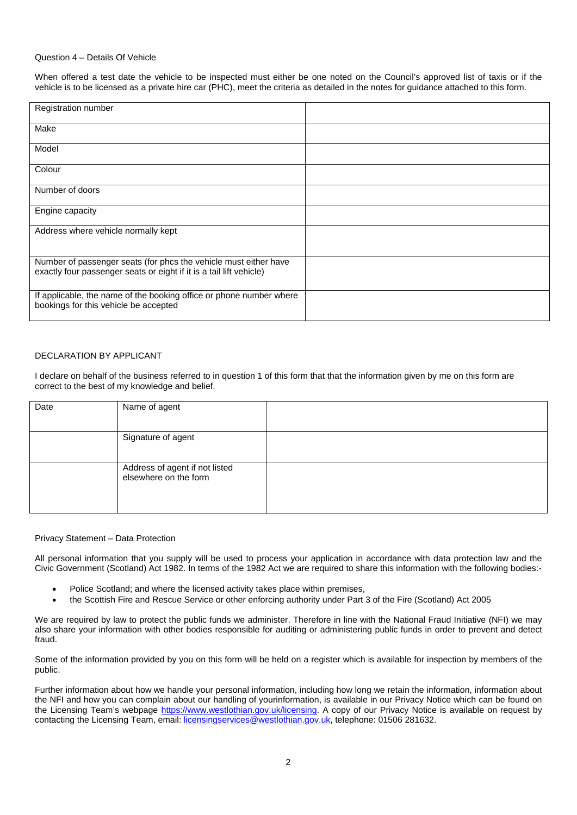### Question 4 – Details Of Vehicle

When offered a test date the vehicle to be inspected must either be one noted on the Council's approved list of taxis or if the vehicle is to be licensed as a private hire car (PHC), meet the criteria as detailed in the notes for guidance attached to this form.

| Registration number                                                                                                                     |  |
|-----------------------------------------------------------------------------------------------------------------------------------------|--|
| Make                                                                                                                                    |  |
| Model                                                                                                                                   |  |
| Colour                                                                                                                                  |  |
| Number of doors                                                                                                                         |  |
| Engine capacity                                                                                                                         |  |
| Address where vehicle normally kept                                                                                                     |  |
| Number of passenger seats (for phcs the vehicle must either have<br>exactly four passenger seats or eight if it is a tail lift vehicle) |  |
| If applicable, the name of the booking office or phone number where<br>bookings for this vehicle be accepted                            |  |

# DECLARATION BY APPLICANT

I declare on behalf of the business referred to in question 1 of this form that that the information given by me on this form are correct to the best of my knowledge and belief.

| Date | Name of agent                                           |  |
|------|---------------------------------------------------------|--|
|      |                                                         |  |
|      | Signature of agent                                      |  |
|      |                                                         |  |
|      | Address of agent if not listed<br>elsewhere on the form |  |
|      |                                                         |  |

#### Privacy Statement – Data Protection

All personal information that you supply will be used to process your application in accordance with data protection law and the Civic Government (Scotland) Act 1982. In terms of the 1982 Act we are required to share this information with the following bodies:-

- Police Scotland; and where the licensed activity takes place within premises,
- the Scottish Fire and Rescue Service or other enforcing authority under Part 3 of the Fire (Scotland) Act 2005

We are required by law to protect the public funds we administer. Therefore in line with the National Fraud Initiative (NFI) we may also share your information with other bodies responsible for auditing or administering public funds in order to prevent and detect fraud.

Some of the information provided by you on this form will be held on a register which is available for inspection by members of the public.

Further information about how we handle your personal information, including how long we retain the information, information about the NFI and how you can complain about our handling of yourinformation, is available in our Privacy Notice which can be found on the Licensing Team's webpage [https://www.westlothian.gov.uk/licensing.](https://www.westlothian.gov.uk/licensing) A copy of our Privacy Notice is available on request by contacting the Licensing Team, email[: licensingservices@westlothian.gov.uk,](mailto:licensingservices@westlothian.gov.uk) telephone: 01506 281632.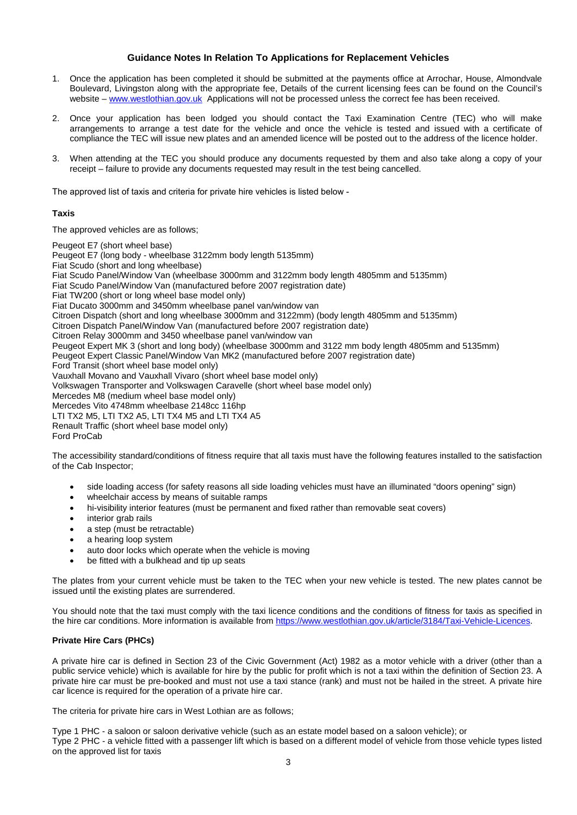# **Guidance Notes In Relation To Applications for Replacement Vehicles**

- 1. Once the application has been completed it should be submitted at the payments office at Arrochar, House, Almondvale Boulevard, Livingston along with the appropriate fee, Details of the current licensing fees can be found on the Council's website – [www.westlothian.gov.uk](http://www.westlothian.gov.uk/) Applications will not be processed unless the correct fee has been received.
- 2. Once your application has been lodged you should contact the Taxi Examination Centre (TEC) who will make arrangements to arrange a test date for the vehicle and once the vehicle is tested and issued with a certificate of compliance the TEC will issue new plates and an amended licence will be posted out to the address of the licence holder.
- 3. When attending at the TEC you should produce any documents requested by them and also take along a copy of your receipt – failure to provide any documents requested may result in the test being cancelled.

The approved list of taxis and criteria for private hire vehicles is listed below -

# **Taxis**

The approved vehicles are as follows;

Peugeot E7 (short wheel base) Peugeot E7 (long body - wheelbase 3122mm body length 5135mm) Fiat Scudo (short and long wheelbase) Fiat Scudo Panel/Window Van (wheelbase 3000mm and 3122mm body length 4805mm and 5135mm) Fiat Scudo Panel/Window Van (manufactured before 2007 registration date) Fiat TW200 (short or long wheel base model only) Fiat Ducato 3000mm and 3450mm wheelbase panel van/window van Citroen Dispatch (short and long wheelbase 3000mm and 3122mm) (body length 4805mm and 5135mm) Citroen Dispatch Panel/Window Van (manufactured before 2007 registration date) Citroen Relay 3000mm and 3450 wheelbase panel van/window van Peugeot Expert MK 3 (short and long body) (wheelbase 3000mm and 3122 mm body length 4805mm and 5135mm) Peugeot Expert Classic Panel/Window Van MK2 (manufactured before 2007 registration date) Ford Transit (short wheel base model only) Vauxhall Movano and Vauxhall Vivaro (short wheel base model only) Volkswagen Transporter and Volkswagen Caravelle (short wheel base model only) Mercedes M8 (medium wheel base model only) Mercedes Vito 4748mm wheelbase 2148cc 116hp LTI TX2 M5, LTI TX2 A5, LTI TX4 M5 and LTI TX4 A5 Renault Traffic (short wheel base model only) Ford ProCab

The accessibility standard/conditions of fitness require that all taxis must have the following features installed to the satisfaction of the Cab Inspector;

- side loading access (for safety reasons all side loading vehicles must have an illuminated "doors opening" sign)
- wheelchair access by means of suitable ramps
- hi-visibility interior features (must be permanent and fixed rather than removable seat covers)
- interior grab rails
- a step (must be retractable)
- a hearing loop system
- auto door locks which operate when the vehicle is moving
- be fitted with a bulkhead and tip up seats

The plates from your current vehicle must be taken to the TEC when your new vehicle is tested. The new plates cannot be issued until the existing plates are surrendered.

You should note that the taxi must comply with the taxi licence conditions and the conditions of fitness for taxis as specified in the hire car conditions. More information is available fro[m https://www.westlothian.gov.uk/article/3184/Taxi-Vehicle-Licences.](https://www.westlothian.gov.uk/article/3184/Taxi-Vehicle-Licences)

# **Private Hire Cars (PHCs)**

A private hire car is defined in Section 23 of the Civic Government (Act) 1982 as a motor vehicle with a driver (other than a public service vehicle) which is available for hire by the public for profit which is not a taxi within the definition of Section 23. A private hire car must be pre-booked and must not use a taxi stance (rank) and must not be hailed in the street. A private hire car licence is required for the operation of a private hire car.

The criteria for private hire cars in West Lothian are as follows;

Type 1 PHC - a saloon or saloon derivative vehicle (such as an estate model based on a saloon vehicle); or Type 2 PHC - a vehicle fitted with a passenger lift which is based on a different model of vehicle from those vehicle types listed on the approved list for taxis